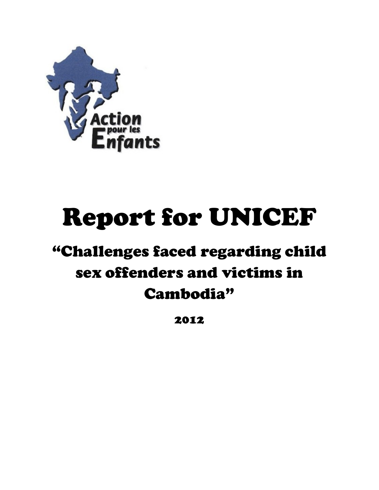

# Report for UNICEF

## "Challenges faced regarding child sex offenders and victims in Cambodia"

2012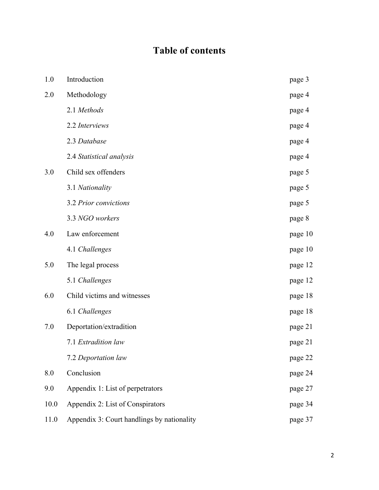### **Table of contents**

| 1.0  | Introduction                               | page 3  |
|------|--------------------------------------------|---------|
| 2.0  | Methodology                                | page 4  |
|      | 2.1 Methods                                | page 4  |
|      | 2.2 Interviews                             | page 4  |
|      | 2.3 Database                               | page 4  |
|      | 2.4 Statistical analysis                   | page 4  |
| 3.0  | Child sex offenders                        | page 5  |
|      | 3.1 Nationality                            | page 5  |
|      | 3.2 Prior convictions                      | page 5  |
|      | 3.3 NGO workers                            | page 8  |
| 4.0  | Law enforcement                            | page 10 |
|      | 4.1 Challenges                             | page 10 |
| 5.0  | The legal process                          | page 12 |
|      | 5.1 Challenges                             | page 12 |
| 6.0  | Child victims and witnesses                | page 18 |
|      | 6.1 Challenges                             | page 18 |
| 7.0  | Deportation/extradition                    | page 21 |
|      | 7.1 Extradition law                        | page 21 |
|      | 7.2 Deportation law                        | page 22 |
| 8.0  | Conclusion                                 | page 24 |
| 9.0  | Appendix 1: List of perpetrators           | page 27 |
| 10.0 | Appendix 2: List of Conspirators           | page 34 |
| 11.0 | Appendix 3: Court handlings by nationality | page 37 |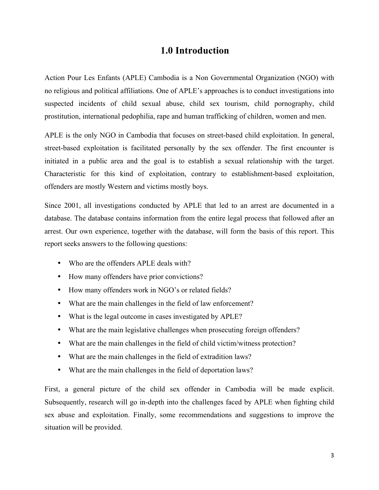#### **1.0 Introduction**

Action Pour Les Enfants (APLE) Cambodia is a Non Governmental Organization (NGO) with no religious and political affiliations. One of APLE's approaches is to conduct investigations into suspected incidents of child sexual abuse, child sex tourism, child pornography, child prostitution, international pedophilia, rape and human trafficking of children, women and men.

APLE is the only NGO in Cambodia that focuses on street-based child exploitation. In general, street-based exploitation is facilitated personally by the sex offender. The first encounter is initiated in a public area and the goal is to establish a sexual relationship with the target. Characteristic for this kind of exploitation, contrary to establishment-based exploitation, offenders are mostly Western and victims mostly boys.

Since 2001, all investigations conducted by APLE that led to an arrest are documented in a database. The database contains information from the entire legal process that followed after an arrest. Our own experience, together with the database, will form the basis of this report. This report seeks answers to the following questions:

- Who are the offenders APLE deals with?
- How many offenders have prior convictions?
- How many offenders work in NGO's or related fields?
- What are the main challenges in the field of law enforcement?
- What is the legal outcome in cases investigated by APLE?
- What are the main legislative challenges when prosecuting foreign offenders?
- What are the main challenges in the field of child victim/witness protection?
- What are the main challenges in the field of extradition laws?
- What are the main challenges in the field of deportation laws?

First, a general picture of the child sex offender in Cambodia will be made explicit. Subsequently, research will go in-depth into the challenges faced by APLE when fighting child sex abuse and exploitation. Finally, some recommendations and suggestions to improve the situation will be provided.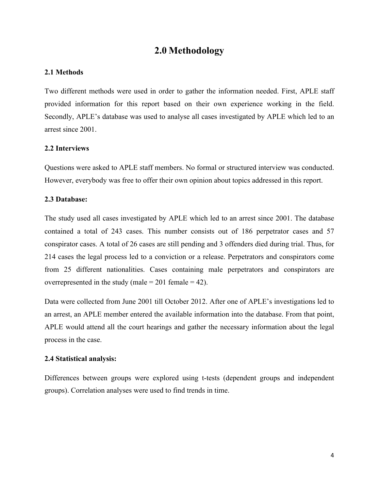#### **2.0 Methodology**

#### **2.1 Methods**

Two different methods were used in order to gather the information needed. First, APLE staff provided information for this report based on their own experience working in the field. Secondly, APLE's database was used to analyse all cases investigated by APLE which led to an arrest since 2001.

#### **2.2 Interviews**

Questions were asked to APLE staff members. No formal or structured interview was conducted. However, everybody was free to offer their own opinion about topics addressed in this report.

#### **2.3 Database:**

The study used all cases investigated by APLE which led to an arrest since 2001. The database contained a total of 243 cases. This number consists out of 186 perpetrator cases and 57 conspirator cases. A total of 26 cases are still pending and 3 offenders died during trial. Thus, for 214 cases the legal process led to a conviction or a release. Perpetrators and conspirators come from 25 different nationalities. Cases containing male perpetrators and conspirators are overrepresented in the study (male  $= 201$  female  $= 42$ ).

Data were collected from June 2001 till October 2012. After one of APLE's investigations led to an arrest, an APLE member entered the available information into the database. From that point, APLE would attend all the court hearings and gather the necessary information about the legal process in the case.

#### **2.4 Statistical analysis:**

Differences between groups were explored using t-tests (dependent groups and independent groups). Correlation analyses were used to find trends in time.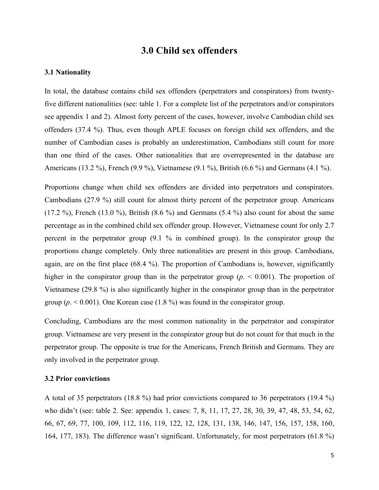#### **3.0 Child sex offenders**

#### **3.1 Nationality**

In total, the database contains child sex offenders (perpetrators and conspirators) from twentyfive different nationalities (see: table 1. For a complete list of the perpetrators and/or conspirators see appendix 1 and 2). Almost forty percent of the cases, however, involve Cambodian child sex offenders (37.4 %). Thus, even though APLE focuses on foreign child sex offenders, and the number of Cambodian cases is probably an underestimation, Cambodians still count for more than one third of the cases. Other nationalities that are overrepresented in the database are Americans (13.2 %), French (9.9 %), Vietnamese (9.1 %), British (6.6 %) and Germans (4.1 %).

Proportions change when child sex offenders are divided into perpetrators and conspirators. Cambodians (27.9 %) still count for almost thirty percent of the perpetrator group. Americans (17.2 %), French (13.0 %), British (8.6 %) and Germans (5.4 %) also count for about the same percentage as in the combined child sex offender group. However, Vietnamese count for only 2.7 percent in the perpetrator group (9.1 % in combined group). In the conspirator group the proportions change completely. Only three nationalities are present in this group. Cambodians, again, are on the first place (68.4 %). The proportion of Cambodians is, however, significantly higher in the conspirator group than in the perpetrator group  $(p. \le 0.001)$ . The proportion of Vietnamese (29.8 %) is also significantly higher in the conspirator group than in the perpetrator group ( $p \le 0.001$ ). One Korean case (1.8 %) was found in the conspirator group.

Concluding, Cambodians are the most common nationality in the perpetrator and conspirator group. Vietnamese are very present in the conspirator group but do not count for that much in the perpetrator group. The opposite is true for the Americans, French British and Germans. They are only involved in the perpetrator group.

#### **3.2 Prior convictions**

A total of 35 perpetrators (18.8 %) had prior convictions compared to 36 perpetrators (19.4 %) who didn't (see: table 2. See: appendix 1, cases: 7, 8, 11, 17, 27, 28, 30, 39, 47, 48, 53, 54, 62, 66, 67, 69, 77, 100, 109, 112, 116, 119, 122, 12, 128, 131, 138, 146, 147, 156, 157, 158, 160, 164, 177, 183). The difference wasn't significant. Unfortunately, for most perpetrators (61.8 %)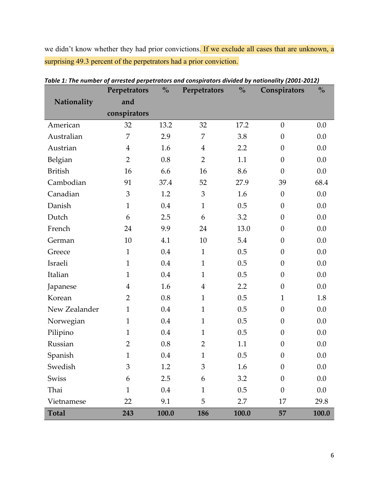we didn't know whether they had prior convictions. If we exclude all cases that are unknown, a surprising 49.3 percent of the perpetrators had a prior conviction.

|                | Perpetrators   | $\frac{0}{0}$ | Perpetrators   | $\frac{0}{0}$ | Conspirators     | $\frac{0}{0}$ |
|----------------|----------------|---------------|----------------|---------------|------------------|---------------|
| Nationality    | and            |               |                |               |                  |               |
|                | conspirators   |               |                |               |                  |               |
| American       | 32             | 13.2          | 32             | 17.2          | $\theta$         | 0.0           |
| Australian     | 7              | 2.9           | 7              | 3.8           | $\theta$         | 0.0           |
| Austrian       | $\overline{4}$ | 1.6           | $\overline{4}$ | 2.2           | $\overline{0}$   | 0.0           |
| Belgian        | $\overline{2}$ | 0.8           | $\overline{2}$ | 1.1           | $\theta$         | 0.0           |
| <b>British</b> | 16             | 6.6           | 16             | 8.6           | $\overline{0}$   | 0.0           |
| Cambodian      | 91             | 37.4          | 52             | 27.9          | 39               | 68.4          |
| Canadian       | 3              | 1.2           | 3              | 1.6           | $\theta$         | 0.0           |
| Danish         | $\mathbf{1}$   | 0.4           | $\mathbf{1}$   | 0.5           | $\theta$         | 0.0           |
| Dutch          | 6              | 2.5           | 6              | 3.2           | $\theta$         | 0.0           |
| French         | 24             | 9.9           | 24             | 13.0          | $\theta$         | 0.0           |
| German         | 10             | 4.1           | 10             | 5.4           | $\theta$         | 0.0           |
| Greece         | $\mathbf{1}$   | 0.4           | $\mathbf{1}$   | 0.5           | $\overline{0}$   | 0.0           |
| Israeli        | $\mathbf{1}$   | 0.4           | $\mathbf{1}$   | 0.5           | $\theta$         | 0.0           |
| Italian        | $\mathbf{1}$   | 0.4           | $\mathbf{1}$   | 0.5           | $\overline{0}$   | 0.0           |
| Japanese       | $\overline{4}$ | 1.6           | $\overline{4}$ | 2.2           | $\theta$         | 0.0           |
| Korean         | $\overline{2}$ | 0.8           | $\mathbf{1}$   | 0.5           | $\mathbf{1}$     | 1.8           |
| New Zealander  | $\mathbf{1}$   | 0.4           | $\mathbf{1}$   | 0.5           | $\theta$         | 0.0           |
| Norwegian      | $\mathbf{1}$   | 0.4           | $\mathbf{1}$   | 0.5           | $\theta$         | 0.0           |
| Pilipino       | $\mathbf{1}$   | 0.4           | $\mathbf{1}$   | 0.5           | $\theta$         | 0.0           |
| Russian        | $\overline{2}$ | 0.8           | $\overline{2}$ | 1.1           | $\theta$         | 0.0           |
| Spanish        | $\mathbf{1}$   | 0.4           | $\mathbf{1}$   | 0.5           | $\theta$         | 0.0           |
| Swedish        | 3              | 1.2           | 3              | 1.6           | $\boldsymbol{0}$ | $0.0\,$       |
| Swiss          | 6              | 2.5           | 6              | 3.2           | $\theta$         | 0.0           |
| Thai           | $\mathbf{1}$   | 0.4           | $\mathbf{1}$   | 0.5           | $\theta$         | 0.0           |
| Vietnamese     | 22             | 9.1           | 5              | 2.7           | 17               | 29.8          |
| <b>Total</b>   | 243            | 100.0         | 186            | 100.0         | 57               | 100.0         |

| Table 1: The number of arrested perpetrators and conspirators divided by nationality (2001-2012) |  |  |
|--------------------------------------------------------------------------------------------------|--|--|
|                                                                                                  |  |  |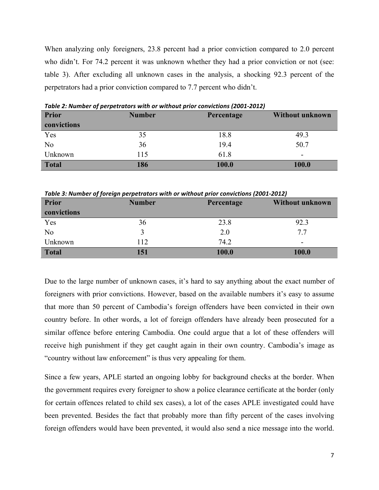When analyzing only foreigners, 23.8 percent had a prior conviction compared to 2.0 percent who didn't. For 74.2 percent it was unknown whether they had a prior conviction or not (see: table 3). After excluding all unknown cases in the analysis, a shocking 92.3 percent of the perpetrators had a prior conviction compared to 7.7 percent who didn't.

| <b>Prior</b>   | <b>Number</b> | Percentage | <b>Without unknown</b> |
|----------------|---------------|------------|------------------------|
| convictions    |               |            |                        |
| Yes            | 35            | 18.8       | 49.3                   |
| N <sub>0</sub> | 36            | 19.4       | 50.7                   |
| Unknown        | 115           | 61.8       | -                      |
| <b>Total</b>   | 186           | 100.0      | 100.0                  |

Table 2: Number of perpetrators with or without prior convictions (2001-2012)

Table 3: Number of foreign perpetrators with or without prior convictions (2001-2012)

| <b>Prior</b>   | <b>Number</b> | Percentage | <b>Without unknown</b> |
|----------------|---------------|------------|------------------------|
| convictions    |               |            |                        |
| Yes            | 36            | 23.8       | 92.3                   |
| N <sub>o</sub> |               | 2.0        | 7.7                    |
| Unknown        | 112           | 74.2       | ۰                      |
| <b>Total</b>   | 151           | 100.0      | 100.0                  |

Due to the large number of unknown cases, it's hard to say anything about the exact number of foreigners with prior convictions. However, based on the available numbers it's easy to assume that more than 50 percent of Cambodia's foreign offenders have been convicted in their own country before. In other words, a lot of foreign offenders have already been prosecuted for a similar offence before entering Cambodia. One could argue that a lot of these offenders will receive high punishment if they get caught again in their own country. Cambodia's image as "country without law enforcement" is thus very appealing for them.

Since a few years, APLE started an ongoing lobby for background checks at the border. When the government requires every foreigner to show a police clearance certificate at the border (only for certain offences related to child sex cases), a lot of the cases APLE investigated could have been prevented. Besides the fact that probably more than fifty percent of the cases involving foreign offenders would have been prevented, it would also send a nice message into the world.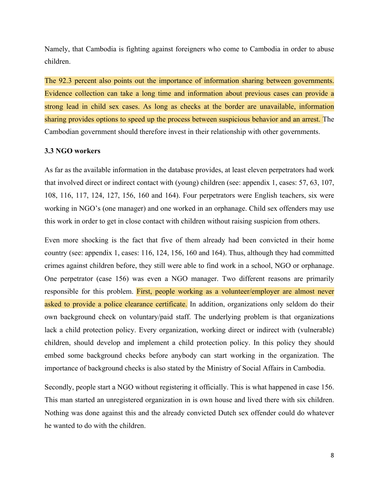Namely, that Cambodia is fighting against foreigners who come to Cambodia in order to abuse children.

The 92.3 percent also points out the importance of information sharing between governments. Evidence collection can take a long time and information about previous cases can provide a strong lead in child sex cases. As long as checks at the border are unavailable, information sharing provides options to speed up the process between suspicious behavior and an arrest. The Cambodian government should therefore invest in their relationship with other governments.

#### **3.3 NGO workers**

As far as the available information in the database provides, at least eleven perpetrators had work that involved direct or indirect contact with (young) children (see: appendix 1, cases: 57, 63, 107, 108, 116, 117, 124, 127, 156, 160 and 164). Four perpetrators were English teachers, six were working in NGO's (one manager) and one worked in an orphanage. Child sex offenders may use this work in order to get in close contact with children without raising suspicion from others.

Even more shocking is the fact that five of them already had been convicted in their home country (see: appendix 1, cases: 116, 124, 156, 160 and 164). Thus, although they had committed crimes against children before, they still were able to find work in a school, NGO or orphanage. One perpetrator (case 156) was even a NGO manager. Two different reasons are primarily responsible for this problem. First, people working as a volunteer/employer are almost never asked to provide a police clearance certificate. In addition, organizations only seldom do their own background check on voluntary/paid staff. The underlying problem is that organizations lack a child protection policy. Every organization, working direct or indirect with (vulnerable) children, should develop and implement a child protection policy. In this policy they should embed some background checks before anybody can start working in the organization. The importance of background checks is also stated by the Ministry of Social Affairs in Cambodia.

Secondly, people start a NGO without registering it officially. This is what happened in case 156. This man started an unregistered organization in is own house and lived there with six children. Nothing was done against this and the already convicted Dutch sex offender could do whatever he wanted to do with the children.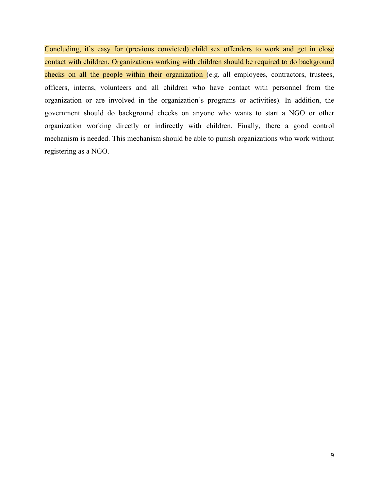Concluding, it's easy for (previous convicted) child sex offenders to work and get in close contact with children. Organizations working with children should be required to do background checks on all the people within their organization (e.g. all employees, contractors, trustees, officers, interns, volunteers and all children who have contact with personnel from the organization or are involved in the organization's programs or activities). In addition, the government should do background checks on anyone who wants to start a NGO or other organization working directly or indirectly with children. Finally, there a good control mechanism is needed. This mechanism should be able to punish organizations who work without registering as a NGO.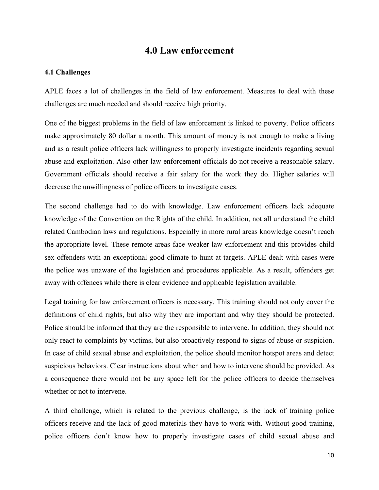#### **4.0 Law enforcement**

#### **4.1 Challenges**

APLE faces a lot of challenges in the field of law enforcement. Measures to deal with these challenges are much needed and should receive high priority.

One of the biggest problems in the field of law enforcement is linked to poverty. Police officers make approximately 80 dollar a month. This amount of money is not enough to make a living and as a result police officers lack willingness to properly investigate incidents regarding sexual abuse and exploitation. Also other law enforcement officials do not receive a reasonable salary. Government officials should receive a fair salary for the work they do. Higher salaries will decrease the unwillingness of police officers to investigate cases.

The second challenge had to do with knowledge. Law enforcement officers lack adequate knowledge of the Convention on the Rights of the child. In addition, not all understand the child related Cambodian laws and regulations. Especially in more rural areas knowledge doesn't reach the appropriate level. These remote areas face weaker law enforcement and this provides child sex offenders with an exceptional good climate to hunt at targets. APLE dealt with cases were the police was unaware of the legislation and procedures applicable. As a result, offenders get away with offences while there is clear evidence and applicable legislation available.

Legal training for law enforcement officers is necessary. This training should not only cover the definitions of child rights, but also why they are important and why they should be protected. Police should be informed that they are the responsible to intervene. In addition, they should not only react to complaints by victims, but also proactively respond to signs of abuse or suspicion. In case of child sexual abuse and exploitation, the police should monitor hotspot areas and detect suspicious behaviors. Clear instructions about when and how to intervene should be provided. As a consequence there would not be any space left for the police officers to decide themselves whether or not to intervene.

A third challenge, which is related to the previous challenge, is the lack of training police officers receive and the lack of good materials they have to work with. Without good training, police officers don't know how to properly investigate cases of child sexual abuse and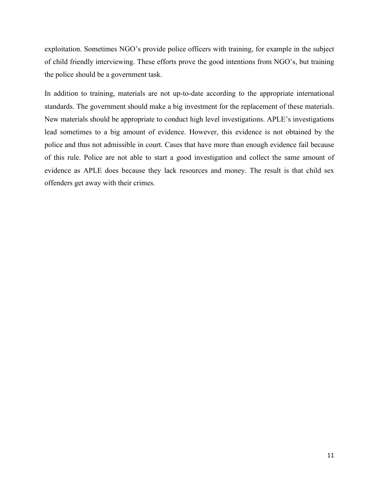exploitation. Sometimes NGO's provide police officers with training, for example in the subject of child friendly interviewing. These efforts prove the good intentions from NGO's, but training the police should be a government task.

In addition to training, materials are not up-to-date according to the appropriate international standards. The government should make a big investment for the replacement of these materials. New materials should be appropriate to conduct high level investigations. APLE's investigations lead sometimes to a big amount of evidence. However, this evidence is not obtained by the police and thus not admissible in court. Cases that have more than enough evidence fail because of this rule. Police are not able to start a good investigation and collect the same amount of evidence as APLE does because they lack resources and money. The result is that child sex offenders get away with their crimes.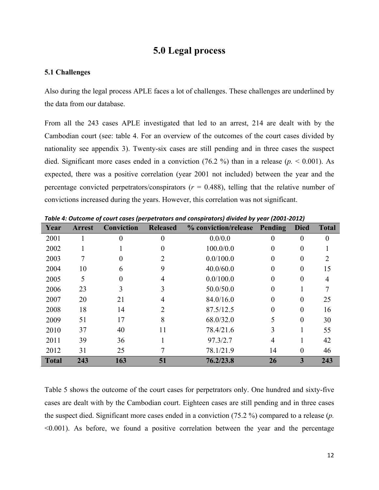#### **5.0 Legal process**

#### **5.1 Challenges**

Also during the legal process APLE faces a lot of challenges. These challenges are underlined by the data from our database.

From all the 243 cases APLE investigated that led to an arrest, 214 are dealt with by the Cambodian court (see: table 4. For an overview of the outcomes of the court cases divided by nationality see appendix 3). Twenty-six cases are still pending and in three cases the suspect died. Significant more cases ended in a conviction (76.2 %) than in a release (*p.* < 0.001). As expected, there was a positive correlation (year 2001 not included) between the year and the percentage convicted perpetrators/conspirators  $(r = 0.488)$ , telling that the relative number of convictions increased during the years. However, this correlation was not significant.

| Year         | <b>Arrest</b> | <br>Conviction | <b>Released</b> | % conviction/release | Pending  | <b>Died</b> | <b>Total</b> |
|--------------|---------------|----------------|-----------------|----------------------|----------|-------------|--------------|
| 2001         |               | $\Omega$       | $\theta$        | 0.0/0.0              | 0        | 0           | $\Omega$     |
| 2002         |               |                | 0               | 100.0/0.0            | $\theta$ | 0           |              |
| 2003         |               |                | 2               | 0.0/100.0            | $\theta$ | 0           |              |
| 2004         | 10            | 6              | 9               | 40.0/60.0            | $\theta$ | $\Omega$    | 15           |
| 2005         | 5             | $\Omega$       | 4               | 0.0/100.0            | $\theta$ | 0           | 4            |
| 2006         | 23            |                |                 | 50.0/50.0            | $\theta$ |             |              |
| 2007         | 20            | 21             | 4               | 84.0/16.0            | $\Omega$ | 0           | 25           |
| 2008         | 18            | 14             | 2               | 87.5/12.5            | $\theta$ | $\Omega$    | 16           |
| 2009         | 51            | 17             | 8               | 68.0/32.0            | 5        | $\theta$    | 30           |
| 2010         | 37            | 40             | 11              | 78.4/21.6            | 3        |             | 55           |
| 2011         | 39            | 36             |                 | 97.3/2.7             | 4        |             | 42           |
| 2012         | 31            | 25             |                 | 78.1/21.9            | 14       | $\theta$    | 46           |
| <b>Total</b> | 243           | 163            | 51              | 76.2/23.8            | 26       | 3           | 243          |

Table 4: Outcome of court cases (perpetrators and conspirators) divided by year (2001-2012)

Table 5 shows the outcome of the court cases for perpetrators only. One hundred and sixty-five cases are dealt with by the Cambodian court. Eighteen cases are still pending and in three cases the suspect died. Significant more cases ended in a conviction (75.2 %) compared to a release (*p.*   $\leq 0.001$ ). As before, we found a positive correlation between the year and the percentage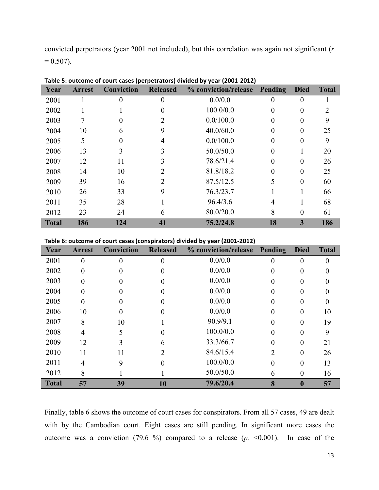convicted perpetrators (year 2001 not included), but this correlation was again not significant (*r*  $= 0.507$ ).

| Year         | <b>Arrest</b> | Conviction | <b>Released</b> | % conviction/release | Pending  | <b>Died</b> | <b>Total</b> |
|--------------|---------------|------------|-----------------|----------------------|----------|-------------|--------------|
| 2001         |               |            |                 | 0.0/0.0              |          | 0           |              |
| 2002         |               |            |                 | 100.0/0.0            | 0        | 0           |              |
| 2003         |               |            | 2               | 0.0/100.0            | $\Omega$ | 0           | 9            |
| 2004         | 10            | 6          | 9               | 40.0/60.0            | 0        | 0           | 25           |
| 2005         | 5             | 0          | 4               | 0.0/100.0            | $\Omega$ | 0           | 9            |
| 2006         | 13            |            | 3               | 50.0/50.0            | $\Omega$ |             | 20           |
| 2007         | 12            | 11         | 3               | 78.6/21.4            | 0        | $\Omega$    | 26           |
| 2008         | 14            | 10         | 2               | 81.8/18.2            | $\theta$ | $\theta$    | 25           |
| 2009         | 39            | 16         | $\mathfrak{D}$  | 87.5/12.5            | 5        | 0           | 60           |
| 2010         | 26            | 33         | 9               | 76.3/23.7            |          |             | 66           |
| 2011         | 35            | 28         |                 | 96.4/3.6             | 4        |             | 68           |
| 2012         | 23            | 24         | 6               | 80.0/20.0            | 8        | 0           | 61           |
| <b>Total</b> | 186           | 124        | 41              | 75.2/24.8            | 18       | 3           | 186          |

**Table&5:&outcome&of&court&cases&(perpetrators)&divided&by&year (2001;2012)**

| Year         | <b>Arrest</b>  | Conviction | <b>Released</b> | % conviction/release Pending |          | <b>Died</b> | <b>Total</b> |
|--------------|----------------|------------|-----------------|------------------------------|----------|-------------|--------------|
| 2001         | 0              | 0          |                 | 0.0/0.0                      |          |             | $\theta$     |
| 2002         | 0              |            |                 | 0.0/0.0                      | 0        |             |              |
| 2003         |                |            |                 | 0.0/0.0                      |          |             |              |
| 2004         | 0              |            |                 | 0.0/0.0                      |          |             |              |
| 2005         | 0              |            |                 | 0.0/0.0                      | 0        |             |              |
| 2006         | 10             |            |                 | 0.0/0.0                      |          |             | 10           |
| 2007         | 8              | 10         |                 | 90.9/9.1                     |          |             | 19           |
| 2008         | 4              |            |                 | 100.0/0.0                    | 0        | 0           | 9            |
| 2009         | 12             |            | 6               | 33.3/66.7                    |          |             | 21           |
| 2010         | 11             |            | 2               | 84.6/15.4                    | フ        |             | 26           |
| 2011         | $\overline{4}$ | 9          | 0               | 100.0/0.0                    | $\Omega$ | 0           | 13           |
| 2012         | 8              |            |                 | 50.0/50.0                    | 6        | 0           | 16           |
| <b>Total</b> | 57             | 39         | 10              | 79.6/20.4                    | 8        | 0           | 57           |

Finally, table 6 shows the outcome of court cases for conspirators. From all 57 cases, 49 are dealt with by the Cambodian court. Eight cases are still pending. In significant more cases the outcome was a conviction (79.6 %) compared to a release  $(p, \le 0.001)$ . In case of the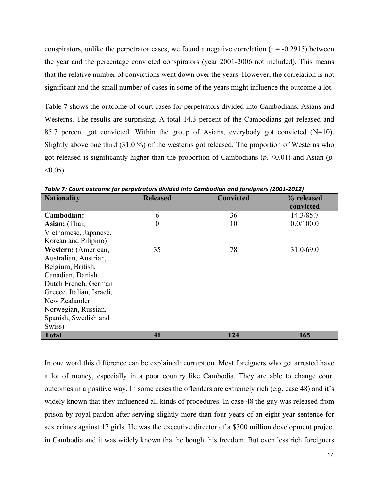conspirators, unlike the perpetrator cases, we found a negative correlation  $(r = -0.2915)$  between the year and the percentage convicted conspirators (year 2001-2006 not included). This means that the relative number of convictions went down over the years. However, the correlation is not significant and the small number of cases in some of the years might influence the outcome a lot.

Table 7 shows the outcome of court cases for perpetrators divided into Cambodians, Asians and Westerns. The results are surprising. A total 14.3 percent of the Cambodians got released and 85.7 percent got convicted. Within the group of Asians, everybody got convicted (N=10). Slightly above one third (31.0 %) of the westerns got released. The proportion of Westerns who got released is significantly higher than the proportion of Cambodians (*p*. <0.01) and Asian (*p.*  $< 0.05$ ).

| <b>Nationality</b>        | <b>Released</b>  | <b>Convicted</b> | % released |
|---------------------------|------------------|------------------|------------|
|                           |                  |                  | convicted  |
| Cambodian:                | 6                | 36               | 14.3/85.7  |
| Asian: (Thai,             | $\boldsymbol{0}$ | 10               | 0.0/100.0  |
| Vietnamese, Japanese,     |                  |                  |            |
| Korean and Pilipino)      |                  |                  |            |
| Western: (American,       | 35               | 78               | 31.0/69.0  |
| Australian, Austrian,     |                  |                  |            |
| Belgium, British,         |                  |                  |            |
| Canadian, Danish          |                  |                  |            |
| Dutch French, German      |                  |                  |            |
| Greece, Italian, Israeli, |                  |                  |            |
| New Zealander,            |                  |                  |            |
| Norwegian, Russian,       |                  |                  |            |
| Spanish, Swedish and      |                  |                  |            |
| Swiss)                    |                  |                  |            |
| <b>Total</b>              | 41               | 124              | 165        |

*Table 7: Court outcome for perpetrators divided into Cambodian and foreigners (2001-2012)* 

In one word this difference can be explained: corruption. Most foreigners who get arrested have a lot of money, especially in a poor country like Cambodia. They are able to change court outcomes in a positive way. In some cases the offenders are extremely rich (e.g. case 48) and it's widely known that they influenced all kinds of procedures. In case 48 the guy was released from prison by royal pardon after serving slightly more than four years of an eight-year sentence for sex crimes against 17 girls. He was the executive director of a \$300 million development project in Cambodia and it was widely known that he bought his freedom. But even less rich foreigners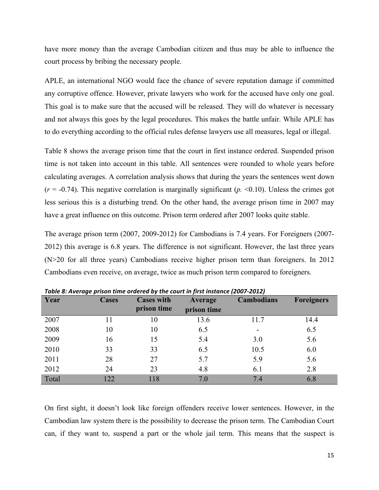have more money than the average Cambodian citizen and thus may be able to influence the court process by bribing the necessary people.

APLE, an international NGO would face the chance of severe reputation damage if committed any corruptive offence. However, private lawyers who work for the accused have only one goal. This goal is to make sure that the accused will be released. They will do whatever is necessary and not always this goes by the legal procedures. This makes the battle unfair. While APLE has to do everything according to the official rules defense lawyers use all measures, legal or illegal.

Table 8 shows the average prison time that the court in first instance ordered. Suspended prison time is not taken into account in this table. All sentences were rounded to whole years before calculating averages. A correlation analysis shows that during the years the sentences went down (*r* = -0.74). This negative correlation is marginally significant (*p.* <0.10). Unless the crimes got less serious this is a disturbing trend. On the other hand, the average prison time in 2007 may have a great influence on this outcome. Prison term ordered after 2007 looks quite stable.

The average prison term (2007, 2009-2012) for Cambodians is 7.4 years. For Foreigners (2007- 2012) this average is 6.8 years. The difference is not significant. However, the last three years (N>20 for all three years) Cambodians receive higher prison term than foreigners. In 2012 Cambodians even receive, on average, twice as much prison term compared to foreigners.

| Year  | <b>Cases</b> | <b>Cases with</b><br>prison time | Average<br>prison time | <b>Cambodians</b> | <b>Foreigners</b> |
|-------|--------------|----------------------------------|------------------------|-------------------|-------------------|
|       |              |                                  |                        |                   |                   |
| 2007  | 11           | 10                               | 13.6                   | 11.7              | 14.4              |
| 2008  | 10           | 10                               | 6.5                    |                   | 6.5               |
| 2009  | 16           | 15                               | 5.4                    | 3.0               | 5.6               |
| 2010  | 33           | 33                               | 6.5                    | 10.5              | 6.0               |
| 2011  | 28           | 27                               | 5.7                    | 5.9               | 5.6               |
| 2012  | 24           | 23                               | 4.8                    | 6.1               | 2.8               |
| Total | 122          | 118                              | 7.0                    | 7.4               | 6.8               |

*Table&8:&Average&prison time&ordered by&the&court&in&first&instance&(2007;2012)*

On first sight, it doesn't look like foreign offenders receive lower sentences. However, in the Cambodian law system there is the possibility to decrease the prison term. The Cambodian Court can, if they want to, suspend a part or the whole jail term. This means that the suspect is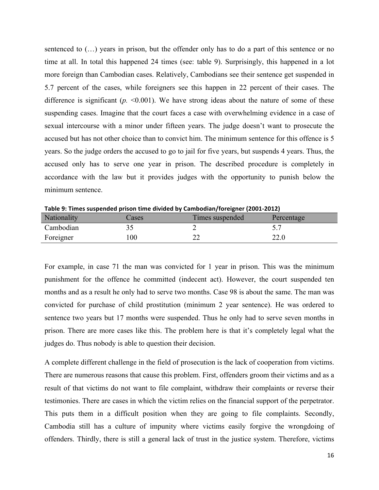sentenced to (…) years in prison, but the offender only has to do a part of this sentence or no time at all. In total this happened 24 times (see: table 9). Surprisingly, this happened in a lot more foreign than Cambodian cases. Relatively, Cambodians see their sentence get suspended in 5.7 percent of the cases, while foreigners see this happen in 22 percent of their cases. The difference is significant  $(p. \le 0.001)$ . We have strong ideas about the nature of some of these suspending cases. Imagine that the court faces a case with overwhelming evidence in a case of sexual intercourse with a minor under fifteen years. The judge doesn't want to prosecute the accused but has not other choice than to convict him. The minimum sentence for this offence is 5 years. So the judge orders the accused to go to jail for five years, but suspends 4 years. Thus, the accused only has to serve one year in prison. The described procedure is completely in accordance with the law but it provides judges with the opportunity to punish below the minimum sentence.

|             |       | .               |            |
|-------------|-------|-----------------|------------|
| Nationality | cases | Times suspended | Percentage |
| Cambodian   |       | -               |            |
| Foreigner   | 00    | ∠∠              | 22.0       |

Table 9: Times suspended prison time divided by Cambodian/foreigner (2001-2012)

For example, in case 71 the man was convicted for 1 year in prison. This was the minimum punishment for the offence he committed (indecent act). However, the court suspended ten months and as a result he only had to serve two months. Case 98 is about the same. The man was convicted for purchase of child prostitution (minimum 2 year sentence). He was ordered to sentence two years but 17 months were suspended. Thus he only had to serve seven months in prison. There are more cases like this. The problem here is that it's completely legal what the judges do. Thus nobody is able to question their decision.

A complete different challenge in the field of prosecution is the lack of cooperation from victims. There are numerous reasons that cause this problem. First, offenders groom their victims and as a result of that victims do not want to file complaint, withdraw their complaints or reverse their testimonies. There are cases in which the victim relies on the financial support of the perpetrator. This puts them in a difficult position when they are going to file complaints. Secondly, Cambodia still has a culture of impunity where victims easily forgive the wrongdoing of offenders. Thirdly, there is still a general lack of trust in the justice system. Therefore, victims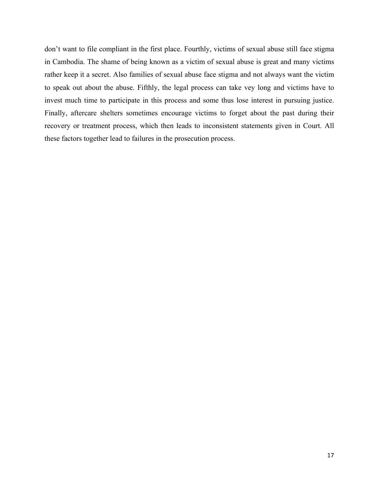don't want to file compliant in the first place. Fourthly, victims of sexual abuse still face stigma in Cambodia. The shame of being known as a victim of sexual abuse is great and many victims rather keep it a secret. Also families of sexual abuse face stigma and not always want the victim to speak out about the abuse. Fifthly, the legal process can take vey long and victims have to invest much time to participate in this process and some thus lose interest in pursuing justice. Finally, aftercare shelters sometimes encourage victims to forget about the past during their recovery or treatment process, which then leads to inconsistent statements given in Court. All these factors together lead to failures in the prosecution process.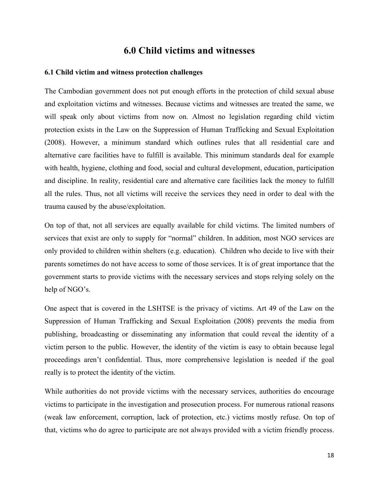#### **6.0 Child victims and witnesses**

#### **6.1 Child victim and witness protection challenges**

The Cambodian government does not put enough efforts in the protection of child sexual abuse and exploitation victims and witnesses. Because victims and witnesses are treated the same, we will speak only about victims from now on. Almost no legislation regarding child victim protection exists in the Law on the Suppression of Human Trafficking and Sexual Exploitation (2008). However, a minimum standard which outlines rules that all residential care and alternative care facilities have to fulfill is available. This minimum standards deal for example with health, hygiene, clothing and food, social and cultural development, education, participation and discipline. In reality, residential care and alternative care facilities lack the money to fulfill all the rules. Thus, not all victims will receive the services they need in order to deal with the trauma caused by the abuse/exploitation.

On top of that, not all services are equally available for child victims. The limited numbers of services that exist are only to supply for "normal" children. In addition, most NGO services are only provided to children within shelters (e.g. education). Children who decide to live with their parents sometimes do not have access to some of those services. It is of great importance that the government starts to provide victims with the necessary services and stops relying solely on the help of NGO's.

One aspect that is covered in the LSHTSE is the privacy of victims. Art 49 of the Law on the Suppression of Human Trafficking and Sexual Exploitation (2008) prevents the media from publishing, broadcasting or disseminating any information that could reveal the identity of a victim person to the public. However, the identity of the victim is easy to obtain because legal proceedings aren't confidential. Thus, more comprehensive legislation is needed if the goal really is to protect the identity of the victim.

While authorities do not provide victims with the necessary services, authorities do encourage victims to participate in the investigation and prosecution process. For numerous rational reasons (weak law enforcement, corruption, lack of protection, etc.) victims mostly refuse. On top of that, victims who do agree to participate are not always provided with a victim friendly process.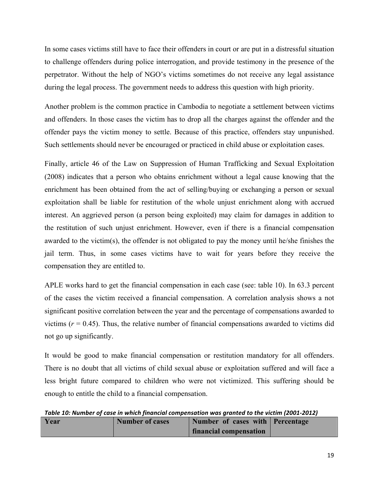In some cases victims still have to face their offenders in court or are put in a distressful situation to challenge offenders during police interrogation, and provide testimony in the presence of the perpetrator. Without the help of NGO's victims sometimes do not receive any legal assistance during the legal process. The government needs to address this question with high priority.

Another problem is the common practice in Cambodia to negotiate a settlement between victims and offenders. In those cases the victim has to drop all the charges against the offender and the offender pays the victim money to settle. Because of this practice, offenders stay unpunished. Such settlements should never be encouraged or practiced in child abuse or exploitation cases.

Finally, article 46 of the Law on Suppression of Human Trafficking and Sexual Exploitation (2008) indicates that a person who obtains enrichment without a legal cause knowing that the enrichment has been obtained from the act of selling/buying or exchanging a person or sexual exploitation shall be liable for restitution of the whole unjust enrichment along with accrued interest. An aggrieved person (a person being exploited) may claim for damages in addition to the restitution of such unjust enrichment. However, even if there is a financial compensation awarded to the victim(s), the offender is not obligated to pay the money until he/she finishes the jail term. Thus, in some cases victims have to wait for years before they receive the compensation they are entitled to.

APLE works hard to get the financial compensation in each case (see: table 10). In 63.3 percent of the cases the victim received a financial compensation. A correlation analysis shows a not significant positive correlation between the year and the percentage of compensations awarded to victims  $(r = 0.45)$ . Thus, the relative number of financial compensations awarded to victims did not go up significantly.

It would be good to make financial compensation or restitution mandatory for all offenders. There is no doubt that all victims of child sexual abuse or exploitation suffered and will face a less bright future compared to children who were not victimized. This suffering should be enough to entitle the child to a financial compensation.

Table 10: Number of case in which financial compensation was granted to the victim (2001-2012)

| Year | <b>Number of cases</b> | Number of cases with Percentage |  |
|------|------------------------|---------------------------------|--|
|      |                        | financial compensation          |  |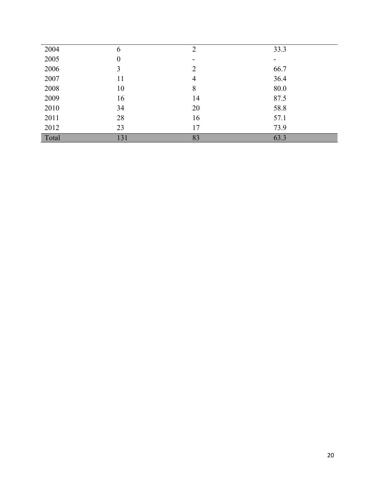| 2004  | 6   | $\overline{2}$           | 33.3 |
|-------|-----|--------------------------|------|
| 2005  | 0   | $\overline{\phantom{0}}$ |      |
| 2006  | 3   | $\overline{2}$           | 66.7 |
| 2007  | 11  | 4                        | 36.4 |
| 2008  | 10  | 8                        | 80.0 |
| 2009  | 16  | 14                       | 87.5 |
| 2010  | 34  | 20                       | 58.8 |
| 2011  | 28  | 16                       | 57.1 |
| 2012  | 23  | 17                       | 73.9 |
| Total | 131 | 83                       | 63.3 |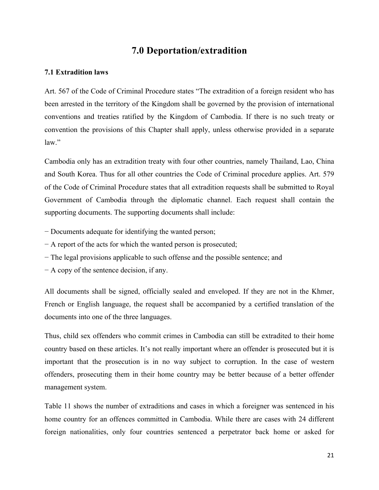#### **7.0 Deportation/extradition**

#### **7.1 Extradition laws**

Art. 567 of the Code of Criminal Procedure states "The extradition of a foreign resident who has been arrested in the territory of the Kingdom shall be governed by the provision of international conventions and treaties ratified by the Kingdom of Cambodia. If there is no such treaty or convention the provisions of this Chapter shall apply, unless otherwise provided in a separate  $law$ "

Cambodia only has an extradition treaty with four other countries, namely Thailand, Lao, China and South Korea. Thus for all other countries the Code of Criminal procedure applies. Art. 579 of the Code of Criminal Procedure states that all extradition requests shall be submitted to Royal Government of Cambodia through the diplomatic channel. Each request shall contain the supporting documents. The supporting documents shall include:

- − Documents adequate for identifying the wanted person;
- − A report of the acts for which the wanted person is prosecuted;
- − The legal provisions applicable to such offense and the possible sentence; and
- − A copy of the sentence decision, if any.

All documents shall be signed, officially sealed and enveloped. If they are not in the Khmer, French or English language, the request shall be accompanied by a certified translation of the documents into one of the three languages.

Thus, child sex offenders who commit crimes in Cambodia can still be extradited to their home country based on these articles. It's not really important where an offender is prosecuted but it is important that the prosecution is in no way subject to corruption. In the case of western offenders, prosecuting them in their home country may be better because of a better offender management system.

Table 11 shows the number of extraditions and cases in which a foreigner was sentenced in his home country for an offences committed in Cambodia. While there are cases with 24 different foreign nationalities, only four countries sentenced a perpetrator back home or asked for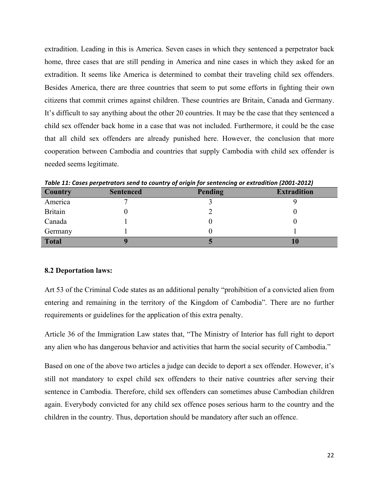extradition. Leading in this is America. Seven cases in which they sentenced a perpetrator back home, three cases that are still pending in America and nine cases in which they asked for an extradition. It seems like America is determined to combat their traveling child sex offenders. Besides America, there are three countries that seem to put some efforts in fighting their own citizens that commit crimes against children. These countries are Britain, Canada and Germany. It's difficult to say anything about the other 20 countries. It may be the case that they sentenced a child sex offender back home in a case that was not included. Furthermore, it could be the case that all child sex offenders are already punished here. However, the conclusion that more cooperation between Cambodia and countries that supply Cambodia with child sex offender is needed seems legitimate.

| Country        | <b>Sentenced</b> | Pending | <b>Extradition</b> |
|----------------|------------------|---------|--------------------|
| America        |                  |         |                    |
| <b>Britain</b> |                  |         |                    |
| Canada         |                  |         |                    |
| Germany        |                  |         |                    |
| <b>Total</b>   |                  | ĸ.      | 10                 |

Table 11: Cases perpetrators send to country of origin for sentencing or extradition (2001-2012)

#### **8.2 Deportation laws:**

Art 53 of the Criminal Code states as an additional penalty "prohibition of a convicted alien from entering and remaining in the territory of the Kingdom of Cambodia". There are no further requirements or guidelines for the application of this extra penalty.

Article 36 of the Immigration Law states that, "The Ministry of Interior has full right to deport any alien who has dangerous behavior and activities that harm the social security of Cambodia."

Based on one of the above two articles a judge can decide to deport a sex offender. However, it's still not mandatory to expel child sex offenders to their native countries after serving their sentence in Cambodia. Therefore, child sex offenders can sometimes abuse Cambodian children again. Everybody convicted for any child sex offence poses serious harm to the country and the children in the country. Thus, deportation should be mandatory after such an offence.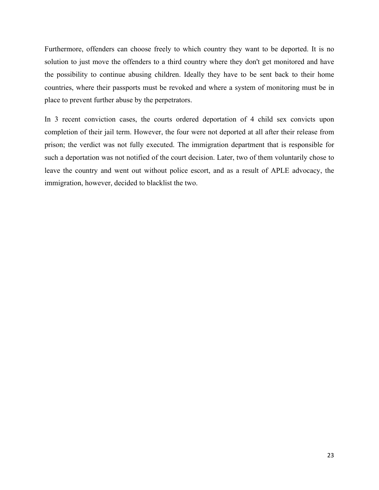Furthermore, offenders can choose freely to which country they want to be deported. It is no solution to just move the offenders to a third country where they don't get monitored and have the possibility to continue abusing children. Ideally they have to be sent back to their home countries, where their passports must be revoked and where a system of monitoring must be in place to prevent further abuse by the perpetrators.

In 3 recent conviction cases, the courts ordered deportation of 4 child sex convicts upon completion of their jail term. However, the four were not deported at all after their release from prison; the verdict was not fully executed. The immigration department that is responsible for such a deportation was not notified of the court decision. Later, two of them voluntarily chose to leave the country and went out without police escort, and as a result of APLE advocacy, the immigration, however, decided to blacklist the two.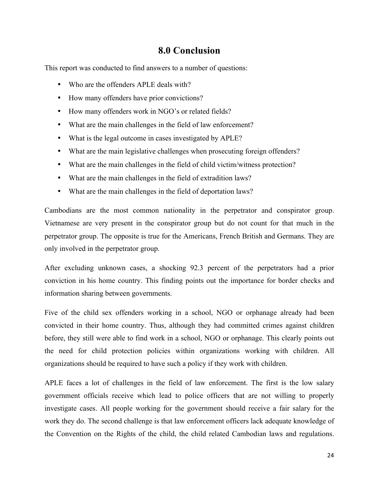#### **8.0 Conclusion**

This report was conducted to find answers to a number of questions:

- Who are the offenders APLE deals with?
- How many offenders have prior convictions?
- How many offenders work in NGO's or related fields?
- What are the main challenges in the field of law enforcement?
- What is the legal outcome in cases investigated by APLE?
- What are the main legislative challenges when prosecuting foreign offenders?
- What are the main challenges in the field of child victim/witness protection?
- What are the main challenges in the field of extradition laws?
- What are the main challenges in the field of deportation laws?

Cambodians are the most common nationality in the perpetrator and conspirator group. Vietnamese are very present in the conspirator group but do not count for that much in the perpetrator group. The opposite is true for the Americans, French British and Germans. They are only involved in the perpetrator group.

After excluding unknown cases, a shocking 92.3 percent of the perpetrators had a prior conviction in his home country. This finding points out the importance for border checks and information sharing between governments.

Five of the child sex offenders working in a school, NGO or orphanage already had been convicted in their home country. Thus, although they had committed crimes against children before, they still were able to find work in a school, NGO or orphanage. This clearly points out the need for child protection policies within organizations working with children. All organizations should be required to have such a policy if they work with children.

APLE faces a lot of challenges in the field of law enforcement. The first is the low salary government officials receive which lead to police officers that are not willing to properly investigate cases. All people working for the government should receive a fair salary for the work they do. The second challenge is that law enforcement officers lack adequate knowledge of the Convention on the Rights of the child, the child related Cambodian laws and regulations.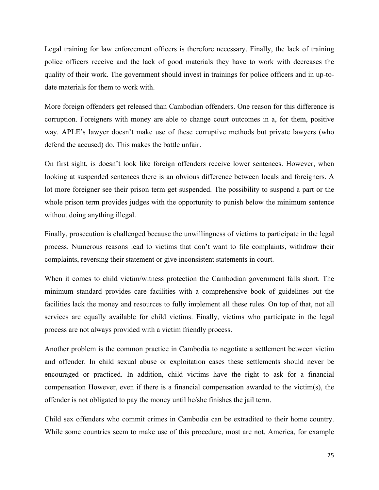Legal training for law enforcement officers is therefore necessary. Finally, the lack of training police officers receive and the lack of good materials they have to work with decreases the quality of their work. The government should invest in trainings for police officers and in up-todate materials for them to work with.

More foreign offenders get released than Cambodian offenders. One reason for this difference is corruption. Foreigners with money are able to change court outcomes in a, for them, positive way. APLE's lawyer doesn't make use of these corruptive methods but private lawyers (who defend the accused) do. This makes the battle unfair.

On first sight, is doesn't look like foreign offenders receive lower sentences. However, when looking at suspended sentences there is an obvious difference between locals and foreigners. A lot more foreigner see their prison term get suspended. The possibility to suspend a part or the whole prison term provides judges with the opportunity to punish below the minimum sentence without doing anything illegal.

Finally, prosecution is challenged because the unwillingness of victims to participate in the legal process. Numerous reasons lead to victims that don't want to file complaints, withdraw their complaints, reversing their statement or give inconsistent statements in court.

When it comes to child victim/witness protection the Cambodian government falls short. The minimum standard provides care facilities with a comprehensive book of guidelines but the facilities lack the money and resources to fully implement all these rules. On top of that, not all services are equally available for child victims. Finally, victims who participate in the legal process are not always provided with a victim friendly process.

Another problem is the common practice in Cambodia to negotiate a settlement between victim and offender. In child sexual abuse or exploitation cases these settlements should never be encouraged or practiced. In addition, child victims have the right to ask for a financial compensation However, even if there is a financial compensation awarded to the victim(s), the offender is not obligated to pay the money until he/she finishes the jail term.

Child sex offenders who commit crimes in Cambodia can be extradited to their home country. While some countries seem to make use of this procedure, most are not. America, for example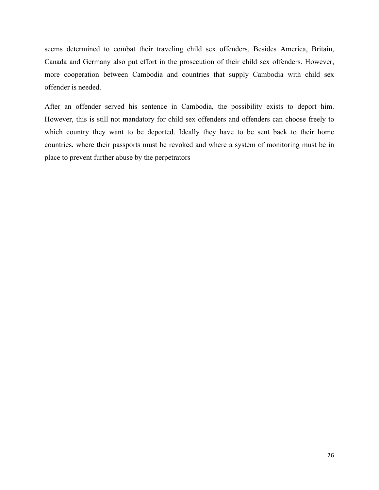seems determined to combat their traveling child sex offenders. Besides America, Britain, Canada and Germany also put effort in the prosecution of their child sex offenders. However, more cooperation between Cambodia and countries that supply Cambodia with child sex offender is needed.

After an offender served his sentence in Cambodia, the possibility exists to deport him. However, this is still not mandatory for child sex offenders and offenders can choose freely to which country they want to be deported. Ideally they have to be sent back to their home countries, where their passports must be revoked and where a system of monitoring must be in place to prevent further abuse by the perpetrators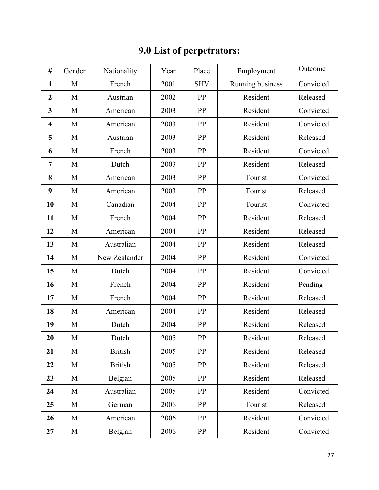| #                       | Gender | Nationality    | Year | Place      | Employment       | Outcome   |
|-------------------------|--------|----------------|------|------------|------------------|-----------|
| $\mathbf{1}$            | M      | French         | 2001 | <b>SHV</b> | Running business | Convicted |
| $\boldsymbol{2}$        | M      | Austrian       | 2002 | PP         | Resident         | Released  |
| 3                       | M      | American       | 2003 | PP         | Resident         | Convicted |
| $\overline{\mathbf{4}}$ | M      | American       | 2003 | PP         | Resident         | Convicted |
| 5                       | M      | Austrian       | 2003 | PP         | Resident         | Released  |
| 6                       | M      | French         | 2003 | PP         | Resident         | Convicted |
| 7                       | M      | Dutch          | 2003 | PP         | Resident         | Released  |
| 8                       | M      | American       | 2003 | PP         | Tourist          | Convicted |
| 9                       | M      | American       | 2003 | PP         | Tourist          | Released  |
| 10                      | M      | Canadian       | 2004 | PP         | Tourist          | Convicted |
| 11                      | M      | French         | 2004 | PP         | Resident         | Released  |
| 12                      | M      | American       | 2004 | PP         | Resident         | Released  |
| 13                      | M      | Australian     | 2004 | PP         | Resident         | Released  |
| 14                      | M      | New Zealander  | 2004 | PP         | Resident         | Convicted |
| 15                      | M      | Dutch          | 2004 | PP         | Resident         | Convicted |
| 16                      | M      | French         | 2004 | PP         | Resident         | Pending   |
| 17                      | M      | French         | 2004 | PP         | Resident         | Released  |
| 18                      | M      | American       | 2004 | PP         | Resident         | Released  |
| 19                      | M      | Dutch          | 2004 | PP         | Resident         | Released  |
| 20                      | M      | Dutch          | 2005 | PP         | Resident         | Released  |
| 21                      | M      | <b>British</b> | 2005 | PP         | Resident         | Released  |
| 22                      | M      | <b>British</b> | 2005 | PP         | Resident         | Released  |
| 23                      | M      | Belgian        | 2005 | PP         | Resident         | Released  |
| 24                      | M      | Australian     | 2005 | PP         | Resident         | Convicted |
| 25                      | M      | German         | 2006 | PP         | Tourist          | Released  |
| 26                      | M      | American       | 2006 | PP         | Resident         | Convicted |
| 27                      | M      | Belgian        | 2006 | PP         | Resident         | Convicted |

## **9.0 List of perpetrators:**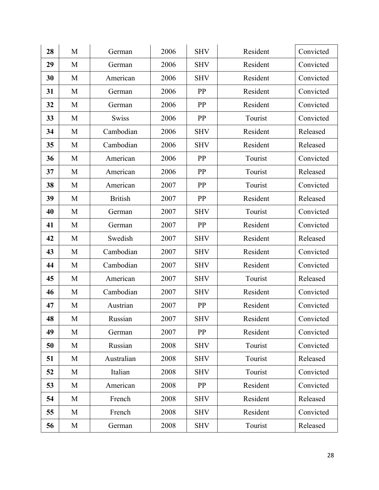| 28 | M | German         | 2006 | <b>SHV</b> | Resident | Convicted |
|----|---|----------------|------|------------|----------|-----------|
| 29 | M | German         | 2006 | <b>SHV</b> | Resident | Convicted |
| 30 | M | American       | 2006 | <b>SHV</b> | Resident | Convicted |
| 31 | M | German         | 2006 | PP         | Resident | Convicted |
| 32 | M | German         | 2006 | PP         | Resident | Convicted |
| 33 | M | Swiss          | 2006 | PP         | Tourist  | Convicted |
| 34 | M | Cambodian      | 2006 | <b>SHV</b> | Resident | Released  |
| 35 | M | Cambodian      | 2006 | <b>SHV</b> | Resident | Released  |
| 36 | M | American       | 2006 | PP         | Tourist  | Convicted |
| 37 | M | American       | 2006 | PP         | Tourist  | Released  |
| 38 | M | American       | 2007 | PP         | Tourist  | Convicted |
| 39 | M | <b>British</b> | 2007 | PP         | Resident | Released  |
| 40 | M | German         | 2007 | <b>SHV</b> | Tourist  | Convicted |
| 41 | M | German         | 2007 | PP         | Resident | Convicted |
| 42 | M | Swedish        | 2007 | <b>SHV</b> | Resident | Released  |
| 43 | M | Cambodian      | 2007 | <b>SHV</b> | Resident | Convicted |
| 44 | M | Cambodian      | 2007 | <b>SHV</b> | Resident | Convicted |
| 45 | M | American       | 2007 | <b>SHV</b> | Tourist  | Released  |
| 46 | M | Cambodian      | 2007 | <b>SHV</b> | Resident | Convicted |
| 47 | M | Austrian       | 2007 | PP         | Resident | Convicted |
| 48 | M | Russian        | 2007 | <b>SHV</b> | Resident | Convicted |
| 49 | M | German         | 2007 | PP         | Resident | Convicted |
| 50 | M | Russian        | 2008 | <b>SHV</b> | Tourist  | Convicted |
| 51 | M | Australian     | 2008 | <b>SHV</b> | Tourist  | Released  |
| 52 | M | Italian        | 2008 | <b>SHV</b> | Tourist  | Convicted |
| 53 | M | American       | 2008 | PP         | Resident | Convicted |
| 54 | M | French         | 2008 | <b>SHV</b> | Resident | Released  |
| 55 | M | French         | 2008 | <b>SHV</b> | Resident | Convicted |
| 56 | M | German         | 2008 | <b>SHV</b> | Tourist  | Released  |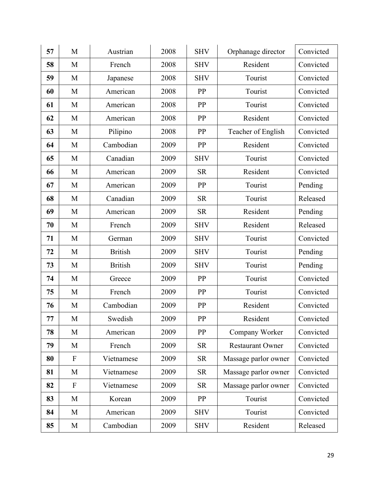| 57 | M                         | Austrian       | 2008 | <b>SHV</b> | Orphanage director      | Convicted |
|----|---------------------------|----------------|------|------------|-------------------------|-----------|
| 58 | M                         | French         | 2008 | <b>SHV</b> | Resident                | Convicted |
| 59 | M                         | Japanese       | 2008 | <b>SHV</b> | Tourist                 | Convicted |
| 60 | M                         | American       | 2008 | PP         | Tourist                 | Convicted |
| 61 | M                         | American       | 2008 | PP         | Tourist                 | Convicted |
| 62 | M                         | American       | 2008 | PP         | Resident                | Convicted |
| 63 | M                         | Pilipino       | 2008 | PP         | Teacher of English      | Convicted |
| 64 | M                         | Cambodian      | 2009 | PP         | Resident                | Convicted |
| 65 | M                         | Canadian       | 2009 | <b>SHV</b> | Tourist                 | Convicted |
| 66 | M                         | American       | 2009 | <b>SR</b>  | Resident                | Convicted |
| 67 | M                         | American       | 2009 | PP         | Tourist                 | Pending   |
| 68 | M                         | Canadian       | 2009 | <b>SR</b>  | Tourist                 | Released  |
| 69 | M                         | American       | 2009 | <b>SR</b>  | Resident                | Pending   |
| 70 | M                         | French         | 2009 | <b>SHV</b> | Resident                | Released  |
| 71 | M                         | German         | 2009 | <b>SHV</b> | Tourist                 | Convicted |
| 72 | M                         | <b>British</b> | 2009 | <b>SHV</b> | Tourist                 | Pending   |
| 73 | M                         | <b>British</b> | 2009 | <b>SHV</b> | Tourist                 | Pending   |
| 74 | M                         | Greece         | 2009 | PP         | Tourist                 | Convicted |
| 75 | M                         | French         | 2009 | PP         | Tourist                 | Convicted |
| 76 | M                         | Cambodian      | 2009 | PP         | Resident                | Convicted |
| 77 | M                         | Swedish        | 2009 | PP         | Resident                | Convicted |
| 78 | M                         | American       | 2009 | PP         | Company Worker          | Convicted |
| 79 | M                         | French         | 2009 | <b>SR</b>  | <b>Restaurant Owner</b> | Convicted |
| 80 | $\boldsymbol{\mathrm{F}}$ | Vietnamese     | 2009 | <b>SR</b>  | Massage parlor owner    | Convicted |
| 81 | M                         | Vietnamese     | 2009 | <b>SR</b>  | Massage parlor owner    | Convicted |
| 82 | $\boldsymbol{\mathrm{F}}$ | Vietnamese     | 2009 | <b>SR</b>  | Massage parlor owner    | Convicted |
| 83 | M                         | Korean         | 2009 | PP         | Tourist                 | Convicted |
| 84 | M                         | American       | 2009 | <b>SHV</b> | Tourist                 | Convicted |
| 85 | M                         | Cambodian      | 2009 | <b>SHV</b> | Resident                | Released  |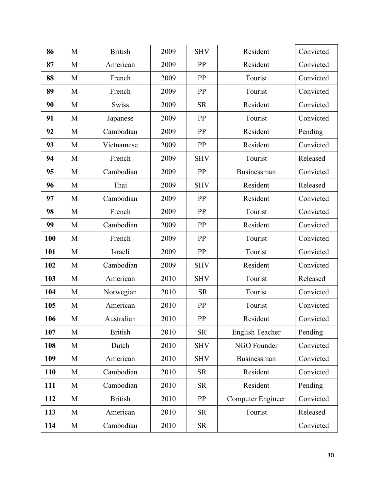| 86         | M | <b>British</b> | 2009 | <b>SHV</b> | Resident               | Convicted |
|------------|---|----------------|------|------------|------------------------|-----------|
| 87         | M | American       | 2009 | PP         | Resident               | Convicted |
| 88         | M | French         | 2009 | PP         | Tourist                | Convicted |
| 89         | M | French         | 2009 | PP         | Tourist                | Convicted |
| 90         | M | <b>Swiss</b>   | 2009 | <b>SR</b>  | Resident               | Convicted |
| 91         | M | Japanese       | 2009 | PP         | Tourist                | Convicted |
| 92         | M | Cambodian      | 2009 | PP         | Resident               | Pending   |
| 93         | M | Vietnamese     | 2009 | <b>PP</b>  | Resident               | Convicted |
| 94         | M | French         | 2009 | <b>SHV</b> | Tourist                | Released  |
| 95         | M | Cambodian      | 2009 | PP         | Businessman            | Convicted |
| 96         | M | Thai           | 2009 | <b>SHV</b> | Resident               | Released  |
| 97         | M | Cambodian      | 2009 | PP         | Resident               | Convicted |
| 98         | M | French         | 2009 | <b>PP</b>  | Tourist                | Convicted |
| 99         | M | Cambodian      | 2009 | <b>PP</b>  | Resident               | Convicted |
| 100        | M | French         | 2009 | PP         | Tourist                | Convicted |
| 101        | M | Israeli        | 2009 | PP         | Tourist                | Convicted |
| 102        | M | Cambodian      | 2009 | <b>SHV</b> | Resident               | Convicted |
| 103        | M | American       | 2010 | <b>SHV</b> | Tourist                | Released  |
| 104        | M | Norwegian      | 2010 | <b>SR</b>  | Tourist                | Convicted |
| 105        | M | American       | 2010 | PP         | Tourist                | Convicted |
| 106        | M | Australian     | 2010 | PP         | Resident               | Convicted |
| 107        | M | <b>British</b> | 2010 | <b>SR</b>  | <b>English Teacher</b> | Pending   |
| 108        | M | Dutch          | 2010 | <b>SHV</b> | NGO Founder            | Convicted |
| 109        | M | American       | 2010 | <b>SHV</b> | Businessman            | Convicted |
| <b>110</b> | M | Cambodian      | 2010 | <b>SR</b>  | Resident               | Convicted |
| 111        | M | Cambodian      | 2010 | <b>SR</b>  | Resident               | Pending   |
| 112        | M | <b>British</b> | 2010 | PP         | Computer Engineer      | Convicted |
| 113        | M | American       | 2010 | <b>SR</b>  | Tourist                | Released  |
| 114        | M | Cambodian      | 2010 | <b>SR</b>  |                        | Convicted |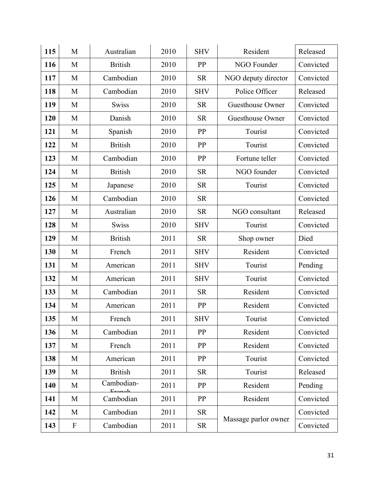| 115 | M                         | Australian              | 2010 | <b>SHV</b> | Resident             | Released  |
|-----|---------------------------|-------------------------|------|------------|----------------------|-----------|
| 116 | M                         | <b>British</b>          | 2010 | <b>PP</b>  | NGO Founder          | Convicted |
| 117 | M                         | Cambodian               | 2010 | <b>SR</b>  | NGO deputy director  | Convicted |
| 118 | M                         | Cambodian               | 2010 | <b>SHV</b> | Police Officer       | Released  |
| 119 | M                         | <b>Swiss</b>            | 2010 | <b>SR</b>  | Guesthouse Owner     | Convicted |
| 120 | M                         | Danish                  | 2010 | <b>SR</b>  | Guesthouse Owner     | Convicted |
| 121 | M                         | Spanish                 | 2010 | <b>PP</b>  | Tourist              | Convicted |
| 122 | M                         | <b>British</b>          | 2010 | PP         | Tourist              | Convicted |
| 123 | M                         | Cambodian               | 2010 | <b>PP</b>  | Fortune teller       | Convicted |
| 124 | M                         | <b>British</b>          | 2010 | <b>SR</b>  | NGO founder          | Convicted |
| 125 | M                         | Japanese                | 2010 | <b>SR</b>  | Tourist              | Convicted |
| 126 | M                         | Cambodian               | 2010 | <b>SR</b>  |                      | Convicted |
| 127 | M                         | Australian              | 2010 | <b>SR</b>  | NGO consultant       | Released  |
| 128 | M                         | <b>Swiss</b>            | 2010 | <b>SHV</b> | Tourist              | Convicted |
| 129 | M                         | <b>British</b>          | 2011 | <b>SR</b>  | Shop owner           | Died      |
| 130 | M                         | French                  | 2011 | <b>SHV</b> | Resident             | Convicted |
| 131 | M                         | American                | 2011 | <b>SHV</b> | Tourist              | Pending   |
| 132 | M                         | American                | 2011 | <b>SHV</b> | Tourist              | Convicted |
| 133 | M                         | Cambodian               | 2011 | <b>SR</b>  | Resident             | Convicted |
| 134 | M                         | American                | 2011 | PP         | Resident             | Convicted |
| 135 | M                         | French                  | 2011 | <b>SHV</b> | Tourist              | Convicted |
| 136 | M                         | Cambodian               | 2011 | PP         | Resident             | Convicted |
| 137 | M                         | French                  | 2011 | <b>PP</b>  | Resident             | Convicted |
| 138 | M                         | American                | 2011 | PP         | Tourist              | Convicted |
| 139 | M                         | <b>British</b>          | 2011 | <b>SR</b>  | Tourist              | Released  |
| 140 | M                         | Cambodian-<br>$E$ ronok | 2011 | PP         | Resident             | Pending   |
| 141 | M                         | Cambodian               | 2011 | <b>PP</b>  | Resident             | Convicted |
| 142 | M                         | Cambodian               | 2011 | <b>SR</b>  |                      | Convicted |
| 143 | $\boldsymbol{\mathrm{F}}$ | Cambodian               | 2011 | ${\rm SR}$ | Massage parlor owner | Convicted |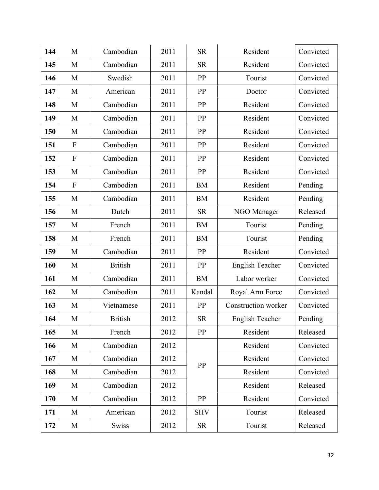| 144 | M            | Cambodian      | 2011 | <b>SR</b>  | Resident               | Convicted |
|-----|--------------|----------------|------|------------|------------------------|-----------|
| 145 | M            | Cambodian      | 2011 | <b>SR</b>  | Resident               | Convicted |
| 146 | M            | Swedish        | 2011 | PP         | Tourist                | Convicted |
| 147 | M            | American       | 2011 | PP         | Doctor                 | Convicted |
| 148 | M            | Cambodian      | 2011 | PP         | Resident               | Convicted |
| 149 | M            | Cambodian      | 2011 | PP         | Resident               | Convicted |
| 150 | M            | Cambodian      | 2011 | PP         | Resident               | Convicted |
| 151 | $\mathbf{F}$ | Cambodian      | 2011 | PP         | Resident               | Convicted |
| 152 | ${\bf F}$    | Cambodian      | 2011 | PP         | Resident               | Convicted |
| 153 | M            | Cambodian      | 2011 | PP         | Resident               | Convicted |
| 154 | $\mathbf{F}$ | Cambodian      | 2011 | <b>BM</b>  | Resident               | Pending   |
| 155 | M            | Cambodian      | 2011 | <b>BM</b>  | Resident               | Pending   |
| 156 | M            | Dutch          | 2011 | <b>SR</b>  | NGO Manager            | Released  |
| 157 | M            | French         | 2011 | <b>BM</b>  | Tourist                | Pending   |
| 158 | M            | French         | 2011 | <b>BM</b>  | Tourist                | Pending   |
| 159 | M            | Cambodian      | 2011 | PP         | Resident               | Convicted |
| 160 | M            | <b>British</b> | 2011 | PP         | <b>English Teacher</b> | Convicted |
| 161 | M            | Cambodian      | 2011 | <b>BM</b>  | Labor worker           | Convicted |
| 162 | M            | Cambodian      | 2011 | Kandal     | Royal Arm Force        | Convicted |
| 163 | M            | Vietnamese     | 2011 | PP         | Construction worker    | Convicted |
| 164 | M            | <b>British</b> | 2012 | <b>SR</b>  | English Teacher        | Pending   |
| 165 | M            | French         | 2012 | PP         | Resident               | Released  |
| 166 | M            | Cambodian      | 2012 |            | Resident               | Convicted |
| 167 | M            | Cambodian      | 2012 | PP         | Resident               | Convicted |
| 168 | M            | Cambodian      | 2012 |            | Resident               | Convicted |
| 169 | M            | Cambodian      | 2012 |            | Resident               | Released  |
| 170 | M            | Cambodian      | 2012 | PP         | Resident               | Convicted |
| 171 | M            | American       | 2012 | <b>SHV</b> | Tourist                | Released  |
| 172 | M            | Swiss          | 2012 | ${\sf SR}$ | Tourist                | Released  |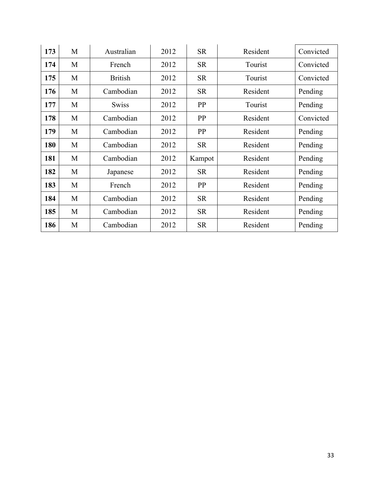| 173 | M | Australian     | 2012 | <b>SR</b> | Resident | Convicted |
|-----|---|----------------|------|-----------|----------|-----------|
| 174 | M | French         | 2012 | <b>SR</b> | Tourist  | Convicted |
| 175 | M | <b>British</b> | 2012 | <b>SR</b> | Tourist  | Convicted |
| 176 | M | Cambodian      | 2012 | <b>SR</b> | Resident | Pending   |
| 177 | M | <b>Swiss</b>   | 2012 | PP        | Tourist  | Pending   |
| 178 | M | Cambodian      | 2012 | PP        | Resident | Convicted |
| 179 | M | Cambodian      | 2012 | PP        | Resident | Pending   |
| 180 | M | Cambodian      | 2012 | <b>SR</b> | Resident | Pending   |
| 181 | M | Cambodian      | 2012 | Kampot    | Resident | Pending   |
| 182 | M | Japanese       | 2012 | <b>SR</b> | Resident | Pending   |
| 183 | M | French         | 2012 | PP        | Resident | Pending   |
| 184 | M | Cambodian      | 2012 | <b>SR</b> | Resident | Pending   |
| 185 | M | Cambodian      | 2012 | <b>SR</b> | Resident | Pending   |
| 186 | M | Cambodian      | 2012 | <b>SR</b> | Resident | Pending   |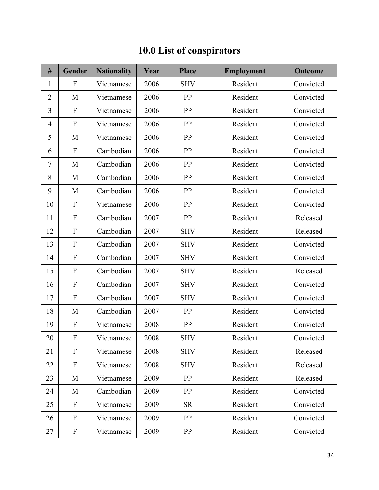| #              | Gender                    | <b>Nationality</b> | Year | <b>Place</b> | <b>Employment</b> | <b>Outcome</b> |
|----------------|---------------------------|--------------------|------|--------------|-------------------|----------------|
| $\mathbf{1}$   | $\boldsymbol{F}$          | Vietnamese         | 2006 | <b>SHV</b>   | Resident          | Convicted      |
| $\overline{2}$ | M                         | Vietnamese         | 2006 | PP           | Resident          | Convicted      |
| 3              | $\boldsymbol{\mathrm{F}}$ | Vietnamese         | 2006 | PP           | Resident          | Convicted      |
| 4              | ${\bf F}$                 | Vietnamese         | 2006 | PP           | Resident          | Convicted      |
| 5              | M                         | Vietnamese         | 2006 | PP           | Resident          | Convicted      |
| 6              | $\boldsymbol{\mathrm{F}}$ | Cambodian          | 2006 | PP           | Resident          | Convicted      |
| 7              | M                         | Cambodian          | 2006 | PP           | Resident          | Convicted      |
| 8              | M                         | Cambodian          | 2006 | PP           | Resident          | Convicted      |
| 9              | M                         | Cambodian          | 2006 | PP           | Resident          | Convicted      |
| 10             | $\boldsymbol{\mathrm{F}}$ | Vietnamese         | 2006 | PP           | Resident          | Convicted      |
| 11             | $\boldsymbol{\mathrm{F}}$ | Cambodian          | 2007 | PP           | Resident          | Released       |
| 12             | $\boldsymbol{\mathrm{F}}$ | Cambodian          | 2007 | <b>SHV</b>   | Resident          | Released       |
| 13             | ${\bf F}$                 | Cambodian          | 2007 | <b>SHV</b>   | Resident          | Convicted      |
| 14             | $\boldsymbol{\mathrm{F}}$ | Cambodian          | 2007 | <b>SHV</b>   | Resident          | Convicted      |
| 15             | $\boldsymbol{\mathrm{F}}$ | Cambodian          | 2007 | <b>SHV</b>   | Resident          | Released       |
| 16             | $\boldsymbol{\mathrm{F}}$ | Cambodian          | 2007 | <b>SHV</b>   | Resident          | Convicted      |
| 17             | $\boldsymbol{\mathrm{F}}$ | Cambodian          | 2007 | <b>SHV</b>   | Resident          | Convicted      |
| 18             | M                         | Cambodian          | 2007 | PP           | Resident          | Convicted      |
| 19             | $\boldsymbol{\mathrm{F}}$ | Vietnamese         | 2008 | PP           | Resident          | Convicted      |
| 20             | F                         | Vietnamese         | 2008 | <b>SHV</b>   | Resident          | Convicted      |
| 21             | $\boldsymbol{\mathrm{F}}$ | Vietnamese         | 2008 | <b>SHV</b>   | Resident          | Released       |
| 22             | $\boldsymbol{F}$          | Vietnamese         | 2008 | <b>SHV</b>   | Resident          | Released       |
| 23             | M                         | Vietnamese         | 2009 | PP           | Resident          | Released       |
| 24             | M                         | Cambodian          | 2009 | PP           | Resident          | Convicted      |
| 25             | $\boldsymbol{\mathrm{F}}$ | Vietnamese         | 2009 | <b>SR</b>    | Resident          | Convicted      |
| 26             | $\boldsymbol{\mathrm{F}}$ | Vietnamese         | 2009 | PP           | Resident          | Convicted      |
| 27             | $\boldsymbol{\mathrm{F}}$ | Vietnamese         | 2009 | PP           | Resident          | Convicted      |

## **10.0 List of conspirators**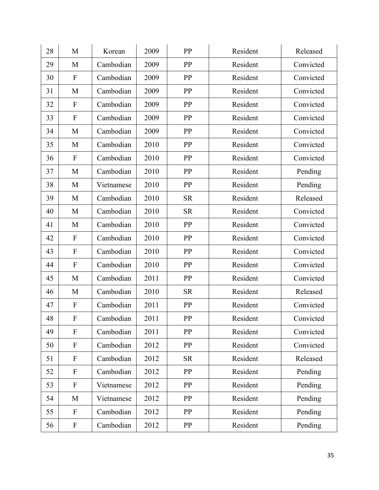| 28 | M                         | Korean     | 2009 | PP         | Resident | Released  |
|----|---------------------------|------------|------|------------|----------|-----------|
| 29 | M                         | Cambodian  | 2009 | PP         | Resident | Convicted |
| 30 | $\mathbf{F}$              | Cambodian  | 2009 | PP         | Resident | Convicted |
| 31 | M                         | Cambodian  | 2009 | PP         | Resident | Convicted |
| 32 | $\mathbf{F}$              | Cambodian  | 2009 | PP         | Resident | Convicted |
| 33 | $\mathbf{F}$              | Cambodian  | 2009 | PP         | Resident | Convicted |
| 34 | M                         | Cambodian  | 2009 | PP         | Resident | Convicted |
| 35 | M                         | Cambodian  | 2010 | PP         | Resident | Convicted |
| 36 | $\mathbf{F}$              | Cambodian  | 2010 | PP         | Resident | Convicted |
| 37 | M                         | Cambodian  | 2010 | PP         | Resident | Pending   |
| 38 | M                         | Vietnamese | 2010 | PP         | Resident | Pending   |
| 39 | M                         | Cambodian  | 2010 | <b>SR</b>  | Resident | Released  |
| 40 | M                         | Cambodian  | 2010 | <b>SR</b>  | Resident | Convicted |
| 41 | M                         | Cambodian  | 2010 | PP         | Resident | Convicted |
| 42 | $\boldsymbol{\mathrm{F}}$ | Cambodian  | 2010 | PP         | Resident | Convicted |
| 43 | $\mathbf{F}$              | Cambodian  | 2010 | PP         | Resident | Convicted |
| 44 | $\mathbf{F}$              | Cambodian  | 2010 | PP         | Resident | Convicted |
| 45 | M                         | Cambodian  | 2011 | PP         | Resident | Convicted |
| 46 | M                         | Cambodian  | 2010 | <b>SR</b>  | Resident | Released  |
| 47 | $\boldsymbol{\mathrm{F}}$ | Cambodian  | 2011 | PP         | Resident | Convicted |
| 48 | $\boldsymbol{\mathrm{F}}$ | Cambodian  | 2011 | PP         | Resident | Convicted |
| 49 | $\mathbf{F}$              | Cambodian  | 2011 | PP         | Resident | Convicted |
| 50 | $\mathbf{F}$              | Cambodian  | 2012 | PP         | Resident | Convicted |
| 51 | $\boldsymbol{F}$          | Cambodian  | 2012 | <b>SR</b>  | Resident | Released  |
| 52 | $\boldsymbol{\mathrm{F}}$ | Cambodian  | 2012 | PP         | Resident | Pending   |
| 53 | $\boldsymbol{\mathrm{F}}$ | Vietnamese | 2012 | PP         | Resident | Pending   |
| 54 | M                         | Vietnamese | 2012 | PP         | Resident | Pending   |
| 55 | $\boldsymbol{F}$          | Cambodian  | 2012 | PP         | Resident | Pending   |
| 56 | $\boldsymbol{F}$          | Cambodian  | 2012 | ${\bf PP}$ | Resident | Pending   |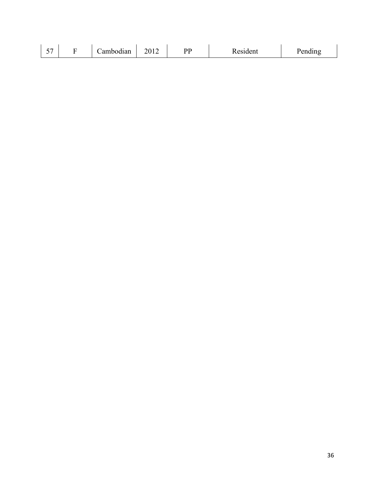| $ -$<br>. . |  | . .<br>ambodian<br>------ | $\sim$ 4 $\sim$<br>∩ר<br>-- | <u>חר</u> | $\sim$ $\sim$ | --- -<br>$- - - - - -$ |
|-------------|--|---------------------------|-----------------------------|-----------|---------------|------------------------|
|-------------|--|---------------------------|-----------------------------|-----------|---------------|------------------------|